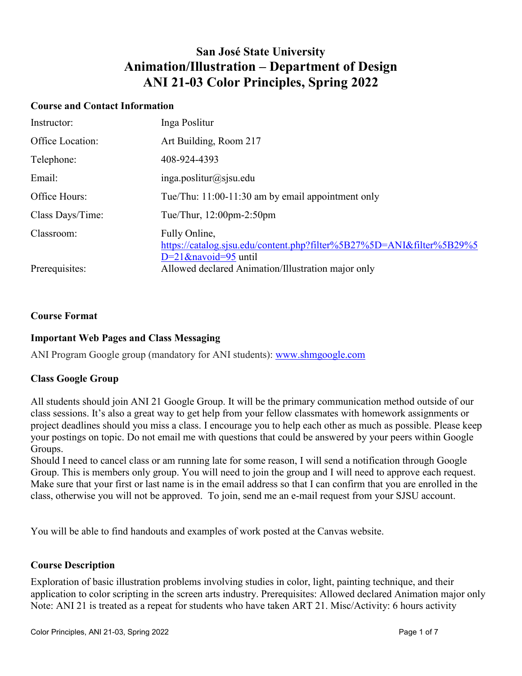## **San José State University Animation/Illustration – Department of Design ANI 21-03 Color Principles, Spring 2022**

#### **Course and Contact Information**

| Instructor:      | Inga Poslitur                                                                                                     |
|------------------|-------------------------------------------------------------------------------------------------------------------|
| Office Location: | Art Building, Room 217                                                                                            |
| Telephone:       | 408-924-4393                                                                                                      |
| Email:           | $inga.$ poslitur@sjsu.edu                                                                                         |
| Office Hours:    | Tue/Thu: 11:00-11:30 am by email appointment only                                                                 |
| Class Days/Time: | Tue/Thur, $12:00$ pm- $2:50$ pm                                                                                   |
| Classroom:       | Fully Online,<br>https://catalog.sjsu.edu/content.php?filter%5B27%5D=ANI&filter%5B29%5<br>$D=21$ &navoid=95 until |
| Prerequisites:   | Allowed declared Animation/Illustration major only                                                                |

#### **Course Format**

#### **Important Web Pages and Class Messaging**

ANI Program Google group (mandatory for ANI students): [www.shmgoogle.com](http://www.shmgoogle.com/)

#### **Class Google Group**

All students should join ANI 21 Google Group. It will be the primary communication method outside of our class sessions. It's also a great way to get help from your fellow classmates with homework assignments or project deadlines should you miss a class. I encourage you to help each other as much as possible. Please keep your postings on topic. Do not email me with questions that could be answered by your peers within Google Groups.

Should I need to cancel class or am running late for some reason, I will send a notification through Google Group. This is members only group. You will need to join the group and I will need to approve each request. Make sure that your first or last name is in the email address so that I can confirm that you are enrolled in the class, otherwise you will not be approved. To join, send me an e-mail request from your SJSU account.

You will be able to find handouts and examples of work posted at the Canvas website.

#### **Course Description**

Exploration of basic illustration problems involving studies in color, light, painting technique, and their application to color scripting in the screen arts industry. Prerequisites: Allowed declared Animation major only Note: ANI 21 is treated as a repeat for students who have taken ART 21. Misc/Activity: 6 hours activity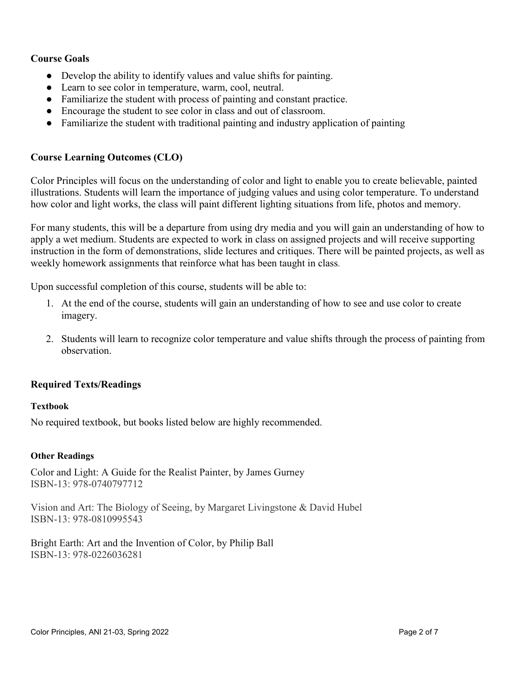## **Course Goals**

- Develop the ability to identify values and value shifts for painting.
- Learn to see color in temperature, warm, cool, neutral.
- Familiarize the student with process of painting and constant practice.
- Encourage the student to see color in class and out of classroom.
- Familiarize the student with traditional painting and industry application of painting

## **Course Learning Outcomes (CLO)**

Color Principles will focus on the understanding of color and light to enable you to create believable, painted illustrations. Students will learn the importance of judging values and using color temperature. To understand how color and light works, the class will paint different lighting situations from life, photos and memory.

For many students, this will be a departure from using dry media and you will gain an understanding of how to apply a wet medium. Students are expected to work in class on assigned projects and will receive supporting instruction in the form of demonstrations, slide lectures and critiques. There will be painted projects, as well as weekly homework assignments that reinforce what has been taught in class.

Upon successful completion of this course, students will be able to:

- 1. At the end of the course, students will gain an understanding of how to see and use color to create imagery.
- 2. Students will learn to recognize color temperature and value shifts through the process of painting from observation.

#### **Required Texts/Readings**

#### **Textbook**

No required textbook, but books listed below are highly recommended.

#### **Other Readings**

Color and Light: A Guide for the Realist Painter, by James Gurney ISBN-13: 978-0740797712

Vision and Art: The Biology of Seeing, by Margaret Livingstone & David Hubel ISBN-13: 978-0810995543

Bright Earth: Art and the Invention of Color, by Philip Ball ISBN-13: 978-0226036281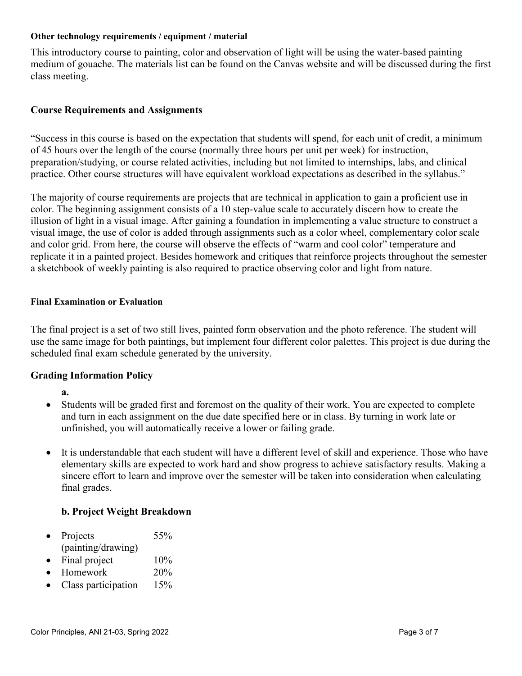#### **Other technology requirements / equipment / material**

This introductory course to painting, color and observation of light will be using the water-based painting medium of gouache. The materials list can be found on the Canvas website and will be discussed during the first class meeting.

## **Course Requirements and Assignments**

"Success in this course is based on the expectation that students will spend, for each unit of credit, a minimum of 45 hours over the length of the course (normally three hours per unit per week) for instruction, preparation/studying, or course related activities, including but not limited to internships, labs, and clinical practice. Other course structures will have equivalent workload expectations as described in the syllabus."

The majority of course requirements are projects that are technical in application to gain a proficient use in color. The beginning assignment consists of a 10 step-value scale to accurately discern how to create the illusion of light in a visual image. After gaining a foundation in implementing a value structure to construct a visual image, the use of color is added through assignments such as a color wheel, complementary color scale and color grid. From here, the course will observe the effects of "warm and cool color" temperature and replicate it in a painted project. Besides homework and critiques that reinforce projects throughout the semester a sketchbook of weekly painting is also required to practice observing color and light from nature.

#### **Final Examination or Evaluation**

The final project is a set of two still lives, painted form observation and the photo reference. The student will use the same image for both paintings, but implement four different color palettes. This project is due during the scheduled final exam schedule generated by the university.

#### **Grading Information Policy**

- **a.**
- Students will be graded first and foremost on the quality of their work. You are expected to complete and turn in each assignment on the due date specified here or in class. By turning in work late or unfinished, you will automatically receive a lower or failing grade.
- It is understandable that each student will have a different level of skill and experience. Those who have elementary skills are expected to work hard and show progress to achieve satisfactory results. Making a sincere effort to learn and improve over the semester will be taken into consideration when calculating final grades.

#### **b. Project Weight Breakdown**

- Projects 55% (painting/drawing)
- Final project  $10\%$
- Homework 20%
- Class participation 15%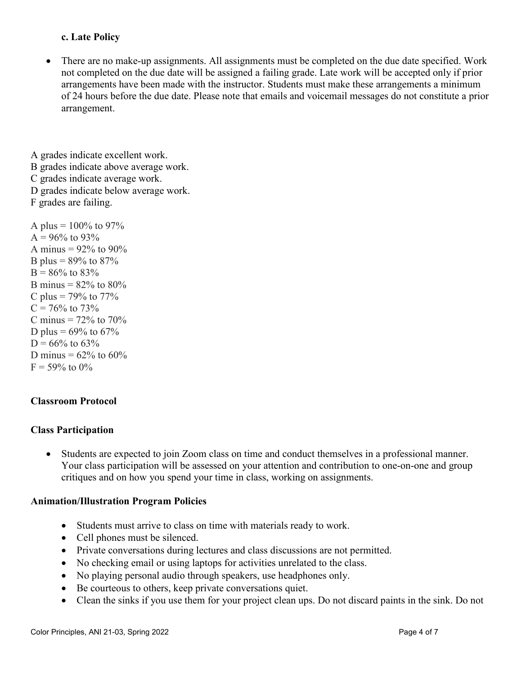## **c. Late Policy**

There are no make-up assignments. All assignments must be completed on the due date specified. Work not completed on the due date will be assigned a failing grade. Late work will be accepted only if prior arrangements have been made with the instructor. Students must make these arrangements a minimum of 24 hours before the due date. Please note that emails and voicemail messages do not constitute a prior arrangement.

A grades indicate excellent work. B grades indicate above average work. C grades indicate average work. D grades indicate below average work. F grades are failing.

A plus =  $100\%$  to 97%  $A = 96\%$  to 93% A minus =  $92\%$  to  $90\%$ B plus =  $89\%$  to  $87\%$  $B = 86\%$  to 83% B minus =  $82\%$  to  $80\%$ C plus =  $79\%$  to  $77\%$  $C = 76\%$  to 73% C minus  $= 72\%$  to 70% D plus =  $69\%$  to  $67\%$  $D = 66\%$  to 63% D minus =  $62\%$  to  $60\%$  $F = 59\%$  to 0%

## **Classroom Protocol**

#### **Class Participation**

• Students are expected to join Zoom class on time and conduct themselves in a professional manner. Your class participation will be assessed on your attention and contribution to one-on-one and group critiques and on how you spend your time in class, working on assignments.

#### **Animation/Illustration Program Policies**

- Students must arrive to class on time with materials ready to work.
- Cell phones must be silenced.
- Private conversations during lectures and class discussions are not permitted.
- No checking email or using laptops for activities unrelated to the class.
- No playing personal audio through speakers, use headphones only.
- Be courteous to others, keep private conversations quiet.
- Clean the sinks if you use them for your project clean ups. Do not discard paints in the sink. Do not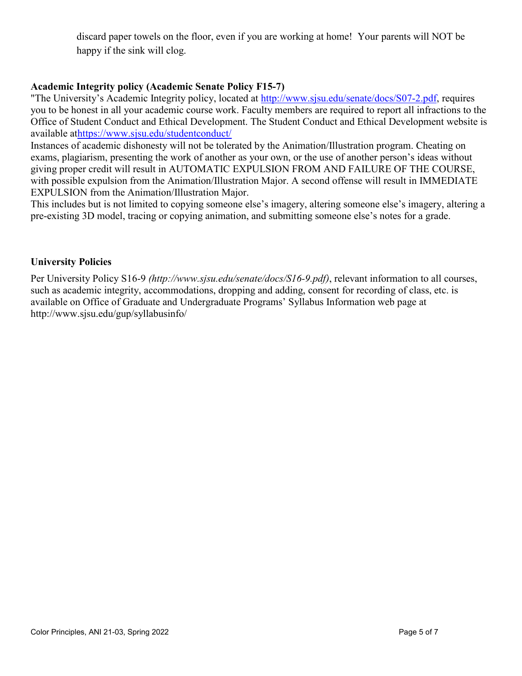discard paper towels on the floor, even if you are working at home! Your parents will NOT be happy if the sink will clog.

## **Academic Integrity policy (Academic Senate Policy F15-7)**

"The University's Academic Integrity policy, located at [http://www.sjsu.edu/senate/docs/S07-2.pdf,](http://www.sjsu.edu/senate/docs/S07-2.pdf) requires you to be honest in all your academic course work. Faculty members are required to report all infractions to the Office of Student Conduct and Ethical Development. The Student Conduct and Ethical Development website is available a[thttps://www.sjsu.edu/studentconduct/](https://www.sjsu.edu/studentconduct/)

Instances of academic dishonesty will not be tolerated by the Animation/Illustration program. Cheating on exams, plagiarism, presenting the work of another as your own, or the use of another person's ideas without giving proper credit will result in AUTOMATIC EXPULSION FROM AND FAILURE OF THE COURSE, with possible expulsion from the Animation/Illustration Major. A second offense will result in IMMEDIATE EXPULSION from the Animation/Illustration Major.

This includes but is not limited to copying someone else's imagery, altering someone else's imagery, altering a pre-existing 3D model, tracing or copying animation, and submitting someone else's notes for a grade.

## **University Policies**

Per University Policy S16-9 *(http://www.sjsu.edu/senate/docs/S16-9.pdf)*, relevant information to all courses, such as academic integrity, accommodations, dropping and adding, consent for recording of class, etc. is available on Office of Graduate and Undergraduate Programs' Syllabus Information web page at http://www.sjsu.edu/gup/syllabusinfo/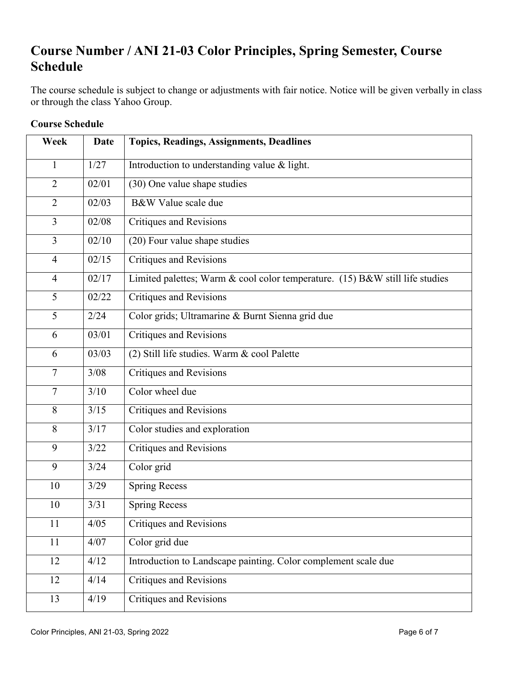# **Course Number / ANI 21-03 Color Principles, Spring Semester, Course Schedule**

The course schedule is subject to change or adjustments with fair notice. Notice will be given verbally in class or through the class Yahoo Group.

| Week           | Date  | <b>Topics, Readings, Assignments, Deadlines</b>                              |
|----------------|-------|------------------------------------------------------------------------------|
| $\mathbf{1}$   | 1/27  | Introduction to understanding value & light.                                 |
| $\overline{2}$ | 02/01 | (30) One value shape studies                                                 |
| $\overline{2}$ | 02/03 | B&W Value scale due                                                          |
| 3              | 02/08 | <b>Critiques and Revisions</b>                                               |
| 3              | 02/10 | (20) Four value shape studies                                                |
| $\overline{4}$ | 02/15 | <b>Critiques and Revisions</b>                                               |
| $\overline{4}$ | 02/17 | Limited palettes; Warm & cool color temperature. (15) B&W still life studies |
| 5              | 02/22 | <b>Critiques and Revisions</b>                                               |
| 5              | 2/24  | Color grids; Ultramarine & Burnt Sienna grid due                             |
| 6              | 03/01 | <b>Critiques and Revisions</b>                                               |
| 6              | 03/03 | (2) Still life studies. Warm & cool Palette                                  |
| $\overline{7}$ | 3/08  | <b>Critiques and Revisions</b>                                               |
| $\tau$         | 3/10  | Color wheel due                                                              |
| 8              | 3/15  | <b>Critiques and Revisions</b>                                               |
| 8              | 3/17  | Color studies and exploration                                                |
| 9              | 3/22  | <b>Critiques and Revisions</b>                                               |
| 9              | 3/24  | Color grid                                                                   |
| 10             | 3/29  | <b>Spring Recess</b>                                                         |
| 10             | 3/31  | <b>Spring Recess</b>                                                         |
| 11             | 4/05  | Critiques and Revisions                                                      |
| 11             | 4/07  | Color grid due                                                               |
| 12             | 4/12  | Introduction to Landscape painting. Color complement scale due               |
| 12             | 4/14  | <b>Critiques and Revisions</b>                                               |
| 13             | 4/19  | <b>Critiques and Revisions</b>                                               |

## **Course Schedule**